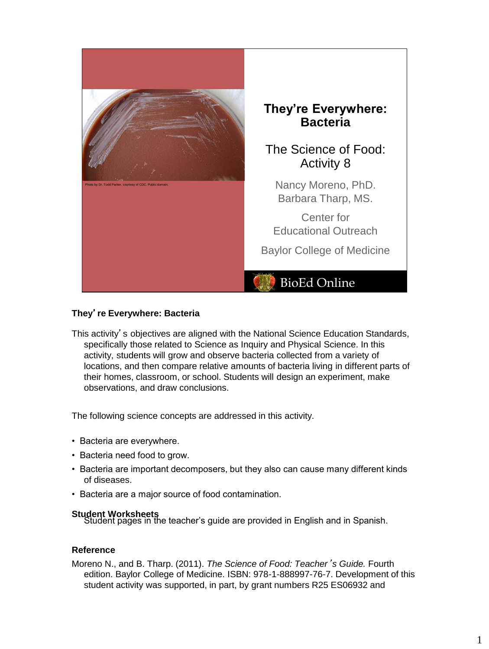

# **They**'**re Everywhere: Bacteria**

This activity's objectives are aligned with the National Science Education Standards, specifically those related to Science as Inquiry and Physical Science. In this activity, students will grow and observe bacteria collected from a variety of locations, and then compare relative amounts of bacteria living in different parts of their homes, classroom, or school. Students will design an experiment, make observations, and draw conclusions.

The following science concepts are addressed in this activity.

- Bacteria are everywhere.
- Bacteria need food to grow.
- Bacteria are important decomposers, but they also can cause many different kinds of diseases.
- Bacteria are a major source of food contamination.

**Student Worksheets**<br>Student pages in the teacher's guide are provided in English and in Spanish.

# **Reference**

Moreno N., and B. Tharp. (2011). *The Science of Food: Teacher*'*s Guide.* Fourth edition. Baylor College of Medicine. ISBN: 978-1-888997-76-7. Development of this student activity was supported, in part, by grant numbers R25 ES06932 and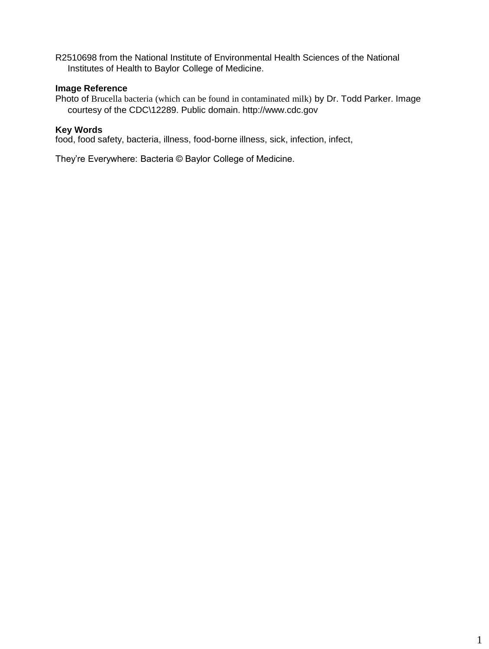R2510698 from the National Institute of Environmental Health Sciences of the National Institutes of Health to Baylor College of Medicine.

# **Image Reference**

Photo of Brucella bacteria (which can be found in contaminated milk) by Dr. Todd Parker. Image courtesy of the CDC\12289. Public domain. http://www.cdc.gov

## **Key Words**

food, food safety, bacteria, illness, food-borne illness, sick, infection, infect,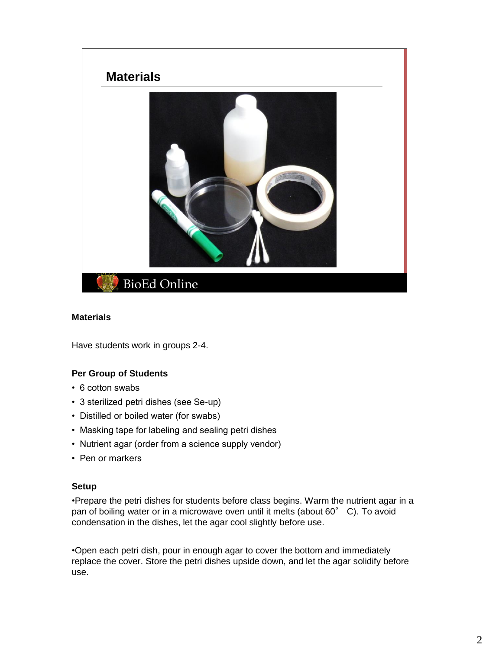

# **Materials**

Have students work in groups 2-4.

# **Per Group of Students**

- 6 cotton swabs
- 3 sterilized petri dishes (see Se-up)
- Distilled or boiled water (for swabs)
- Masking tape for labeling and sealing petri dishes
- Nutrient agar (order from a science supply vendor)
- Pen or markers

#### **Setup**

•Prepare the petri dishes for students before class begins. Warm the nutrient agar in a pan of boiling water or in a microwave oven until it melts (about 60° C). To avoid condensation in the dishes, let the agar cool slightly before use.

•Open each petri dish, pour in enough agar to cover the bottom and immediately replace the cover. Store the petri dishes upside down, and let the agar solidify before use.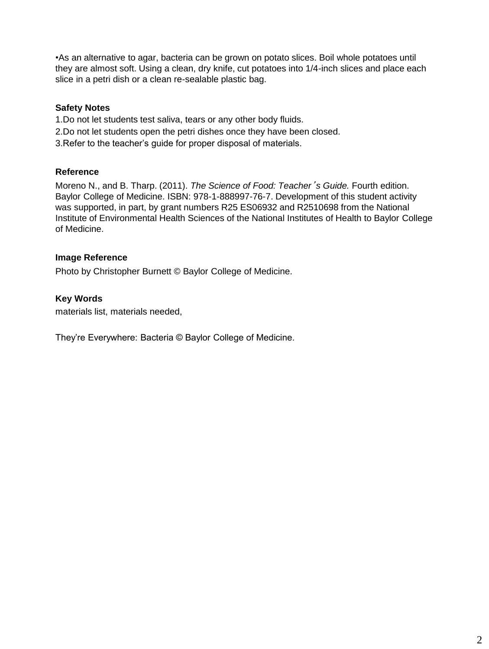•As an alternative to agar, bacteria can be grown on potato slices. Boil whole potatoes until they are almost soft. Using a clean, dry knife, cut potatoes into 1/4-inch slices and place each slice in a petri dish or a clean re-sealable plastic bag.

# **Safety Notes**

- 1.Do not let students test saliva, tears or any other body fluids.
- 2.Do not let students open the petri dishes once they have been closed.
- 3.Refer to the teacher's guide for proper disposal of materials.

# **Reference**

Moreno N., and B. Tharp. (2011). *The Science of Food: Teacher*'*s Guide.* Fourth edition. Baylor College of Medicine. ISBN: 978-1-888997-76-7. Development of this student activity was supported, in part, by grant numbers R25 ES06932 and R2510698 from the National Institute of Environmental Health Sciences of the National Institutes of Health to Baylor College of Medicine.

# **Image Reference**

Photo by Christopher Burnett © Baylor College of Medicine.

# **Key Words**

materials list, materials needed,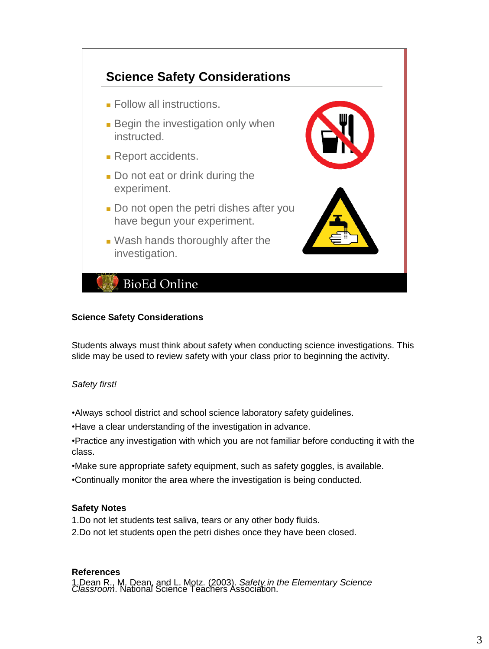

# **Science Safety Considerations**

Students always must think about safety when conducting science investigations. This slide may be used to review safety with your class prior to beginning the activity.

*Safety first!*

•Always school district and school science laboratory safety guidelines.

•Have a clear understanding of the investigation in advance.

- •Practice any investigation with which you are not familiar before conducting it with the class.
- •Make sure appropriate safety equipment, such as safety goggles, is available.
- •Continually monitor the area where the investigation is being conducted.

# **Safety Notes**

- 1.Do not let students test saliva, tears or any other body fluids.
- 2.Do not let students open the petri dishes once they have been closed.

# **References**

1.Dean R., M. Dean, and L. Motz. (2003). *Safety in the Elementary Science Classroom*. National Science Teachers Association.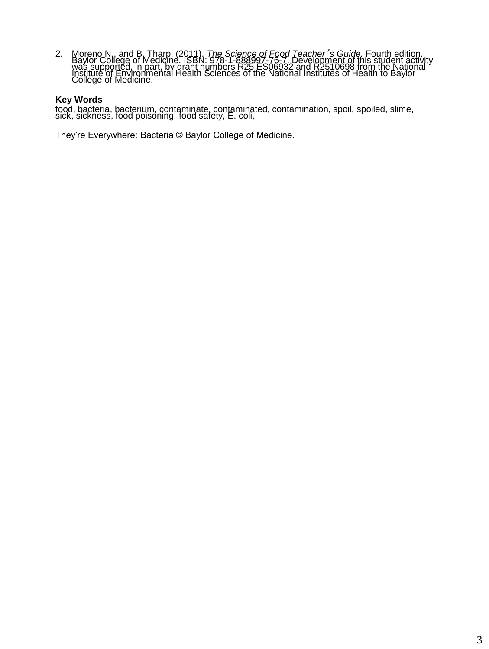2. Moreno N., and B. Tharp. (2011). The Science of Food Teacher's Guide. Fourth edition.<br>Baylor College of Medicine. ISBN: 978-1-888997-76-7. Development of this student activity<br>was supported, in part, by grant numbers R2

### **Key Words**

food, bacteria, bacterium, contaminate, contaminated, contamination, spoil, spoiled, slime, sick, sickness, food poisoning, food safety, E. coli,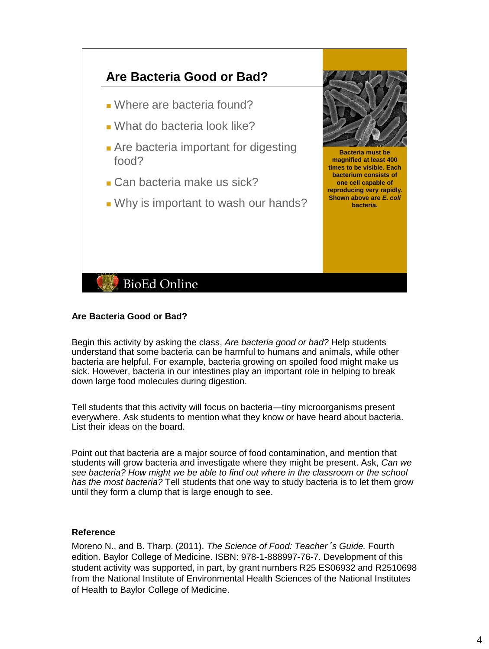

# **Are Bacteria Good or Bad?**

Begin this activity by asking the class, *Are bacteria good or bad?* Help students understand that some bacteria can be harmful to humans and animals, while other bacteria are helpful. For example, bacteria growing on spoiled food might make us sick. However, bacteria in our intestines play an important role in helping to break down large food molecules during digestion.

**bacteria.** 

Tell students that this activity will focus on bacteria—tiny microorganisms present everywhere. Ask students to mention what they know or have heard about bacteria. List their ideas on the board.

Point out that bacteria are a major source of food contamination, and mention that students will grow bacteria and investigate where they might be present. Ask, *Can we see bacteria? How might we be able to find out where in the classroom or the school has the most bacteria?* Tell students that one way to study bacteria is to let them grow until they form a clump that is large enough to see.

#### **Reference**

Moreno N., and B. Tharp. (2011). *The Science of Food: Teacher*'*s Guide.* Fourth edition. Baylor College of Medicine. ISBN: 978-1-888997-76-7. Development of this student activity was supported, in part, by grant numbers R25 ES06932 and R2510698 from the National Institute of Environmental Health Sciences of the National Institutes of Health to Baylor College of Medicine.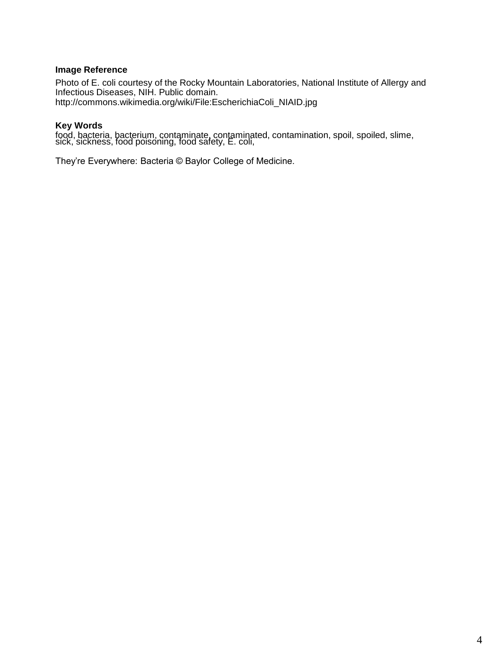### **Image Reference**

Photo of E. coli courtesy of the Rocky Mountain Laboratories, National Institute of Allergy and Infectious Diseases, NIH. Public domain. http://commons.wikimedia.org/wiki/File:EscherichiaColi\_NIAID.jpg

## **Key Words**

food, bacteria, bacterium, contaminate, contaminated, contamination, spoil, spoiled, slime, sick, sickness, food poisoning, food safety, E. coli,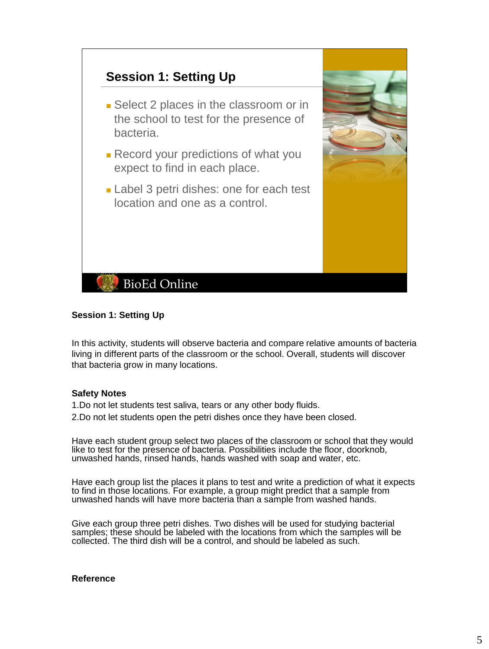

## **Session 1: Setting Up**

In this activity, students will observe bacteria and compare relative amounts of bacteria living in different parts of the classroom or the school. Overall, students will discover that bacteria grow in many locations.

#### **Safety Notes**

1.Do not let students test saliva, tears or any other body fluids. 2.Do not let students open the petri dishes once they have been closed.

Have each student group select two places of the classroom or school that they would like to test for the presence of bacteria. Possibilities include the floor, doorknob, unwashed hands, rinsed hands, hands washed with soap and water, etc.

Have each group list the places it plans to test and write a prediction of what it expects to find in those locations. For example, a group might predict that a sample from unwashed hands will have more bacteria than a sample from washed hands.

Give each group three petri dishes. Two dishes will be used for studying bacterial samples; these should be labeled with the locations from which the samples will be collected. The third dish will be a control, and should be labeled as such.

### **Reference**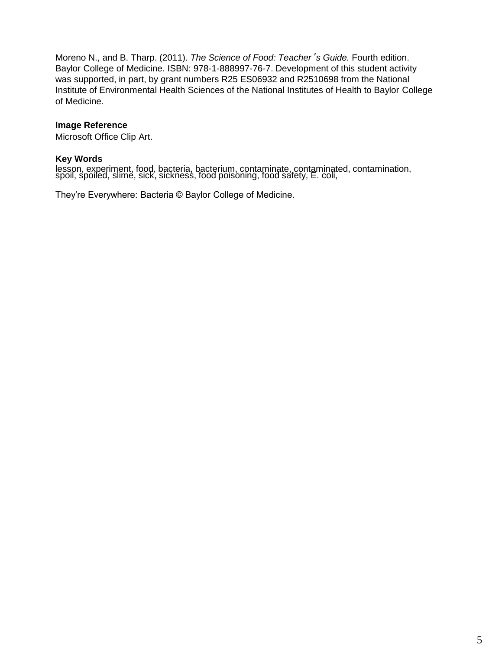Moreno N., and B. Tharp. (2011). *The Science of Food: Teacher*'*s Guide.* Fourth edition. Baylor College of Medicine. ISBN: 978-1-888997-76-7. Development of this student activity was supported, in part, by grant numbers R25 ES06932 and R2510698 from the National Institute of Environmental Health Sciences of the National Institutes of Health to Baylor College of Medicine.

# **Image Reference**

Microsoft Office Clip Art.

# **Key Words**

lesson, experiment, food, bacteria, bacterium, contaminate, contaminated, contamination, spoil, spoiled, slime, sick, sickness, food poisoning, food safety, E. coli,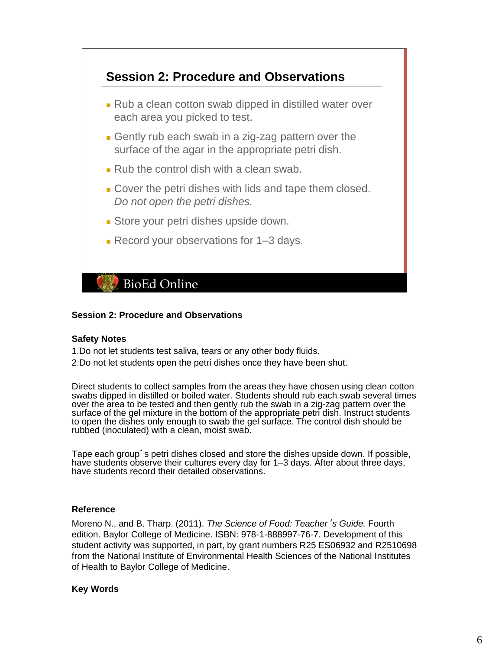

#### **Session 2: Procedure and Observations**

#### **Safety Notes**

1.Do not let students test saliva, tears or any other body fluids.

2.Do not let students open the petri dishes once they have been shut.

Direct students to collect samples from the areas they have chosen using clean cotton swabs dipped in distilled or boiled water. Students should rub each swab several times over the area to be tested and then gently rub the swab in a zig-zag pattern over the surface of the gel mixture in the bottom of the appropriate petri dish. Instruct students to open the dishes only enough to swab the gel surface. The control dish should be rubbed (inoculated) with a clean, moist swab.

Tape each group's petri dishes closed and store the dishes upside down. If possible, have students observe their cultures every day for 1–3 days. After about three days, have students record their detailed observations.

### **Reference**

Moreno N., and B. Tharp. (2011). *The Science of Food: Teacher*'*s Guide.* Fourth edition. Baylor College of Medicine. ISBN: 978-1-888997-76-7. Development of this student activity was supported, in part, by grant numbers R25 ES06932 and R2510698 from the National Institute of Environmental Health Sciences of the National Institutes of Health to Baylor College of Medicine.

# **Key Words**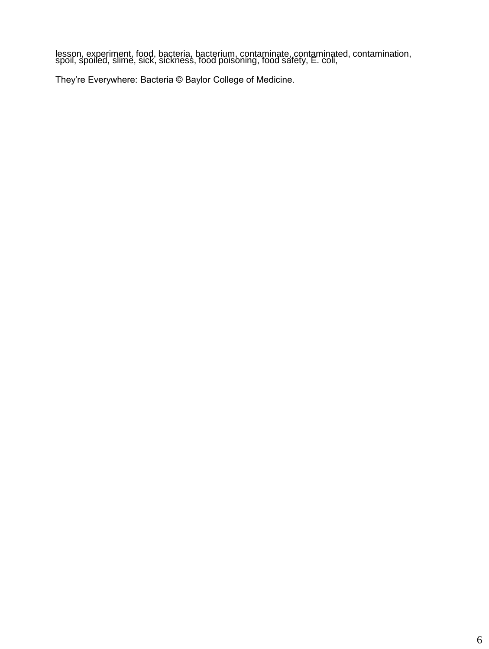lesson, experiment, food, bacteria, bacterium, contaminate, contaminated, contamination, spoiled, slime, sick, sickness, food poisoning, food safety, E. coli,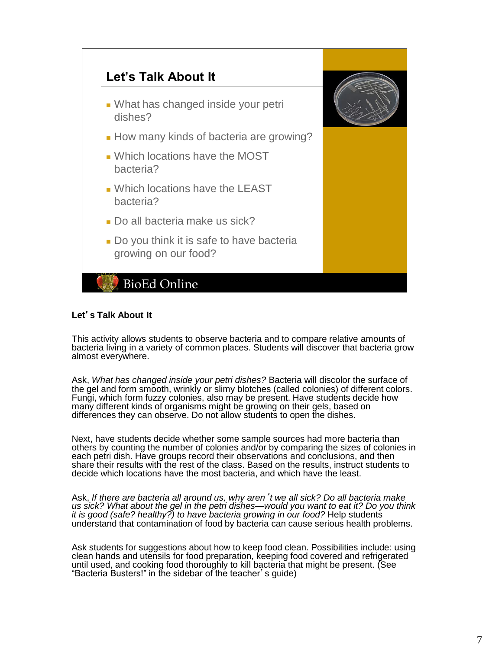

## **Let**'**s Talk About It**

This activity allows students to observe bacteria and to compare relative amounts of bacteria living in a variety of common places. Students will discover that bacteria grow almost everywhere.

Ask, *What has changed inside your petri dishes?* Bacteria will discolor the surface of the gel and form smooth, wrinkly or slimy blotches (called colonies) of different colors. Fungi, which form fuzzy colonies, also may be present. Have students decide how many different kinds of organisms might be growing on their gels, based on differences they can observe. Do not allow students to open the dishes.

Next, have students decide whether some sample sources had more bacteria than others by counting the number of colonies and/or by comparing the sizes of colonies in each petri dish. Have groups record their observations and conclusions, and then share their results with the rest of the class. Based on the results, instruct students to decide which locations have the most bacteria, and which have the least.

Ask, *If there are bacteria all around us, why aren*'*t we all sick? Do all bacteria make us sick? What about the gel in the petri dishes—would you want to eat it? Do you think it is good (safe? healthy?) to have bacteria growing in our food?* Help students understand that contamination of food by bacteria can cause serious health problems.

Ask students for suggestions about how to keep food clean. Possibilities include: using clean hands and utensils for food preparation, keeping food covered and refrigerated until used, and cooking food thoroughly to kill bacteria that might be present. (See "Bacteria Busters!" in the sidebar of the teacher's guide)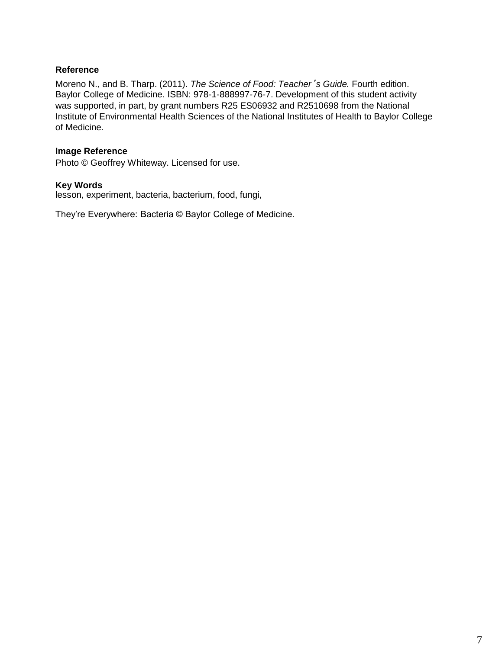# **Reference**

Moreno N., and B. Tharp. (2011). *The Science of Food: Teacher*'*s Guide.* Fourth edition. Baylor College of Medicine. ISBN: 978-1-888997-76-7. Development of this student activity was supported, in part, by grant numbers R25 ES06932 and R2510698 from the National Institute of Environmental Health Sciences of the National Institutes of Health to Baylor College of Medicine.

# **Image Reference**

Photo © Geoffrey Whiteway. Licensed for use.

## **Key Words**

lesson, experiment, bacteria, bacterium, food, fungi,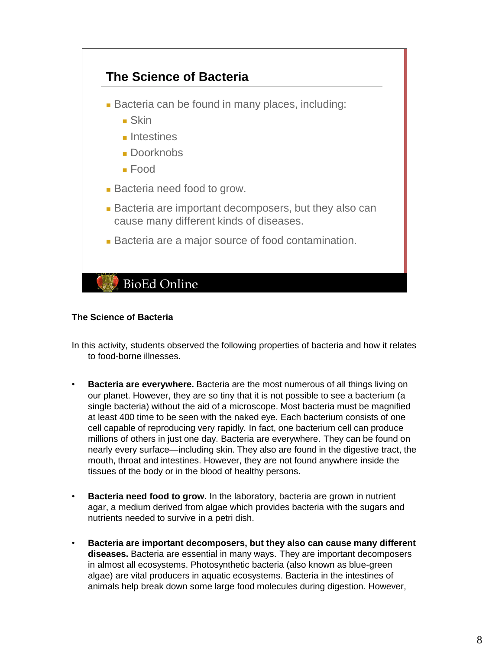

# **The Science of Bacteria**

In this activity, students observed the following properties of bacteria and how it relates to food-borne illnesses.

- **Bacteria are everywhere.** Bacteria are the most numerous of all things living on our planet. However, they are so tiny that it is not possible to see a bacterium (a single bacteria) without the aid of a microscope. Most bacteria must be magnified at least 400 time to be seen with the naked eye. Each bacterium consists of one cell capable of reproducing very rapidly. In fact, one bacterium cell can produce millions of others in just one day. Bacteria are everywhere. They can be found on nearly every surface—including skin. They also are found in the digestive tract, the mouth, throat and intestines. However, they are not found anywhere inside the tissues of the body or in the blood of healthy persons.
- **Bacteria need food to grow.** In the laboratory, bacteria are grown in nutrient agar, a medium derived from algae which provides bacteria with the sugars and nutrients needed to survive in a petri dish.
- **Bacteria are important decomposers, but they also can cause many different diseases.** Bacteria are essential in many ways. They are important decomposers in almost all ecosystems. Photosynthetic bacteria (also known as blue-green algae) are vital producers in aquatic ecosystems. Bacteria in the intestines of animals help break down some large food molecules during digestion. However,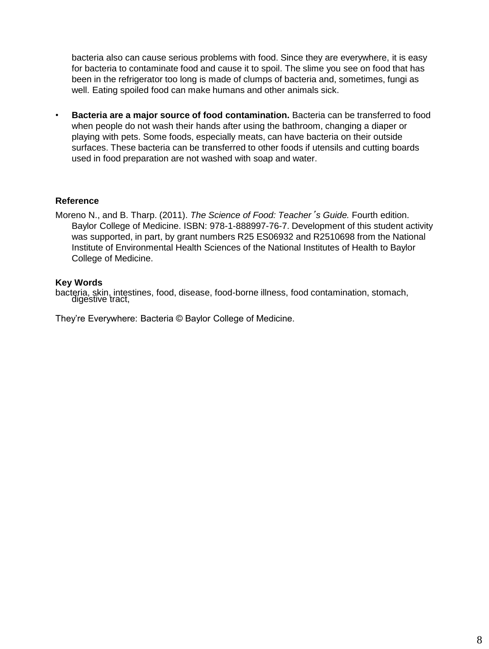bacteria also can cause serious problems with food. Since they are everywhere, it is easy for bacteria to contaminate food and cause it to spoil. The slime you see on food that has been in the refrigerator too long is made of clumps of bacteria and, sometimes, fungi as well. Eating spoiled food can make humans and other animals sick.

• **Bacteria are a major source of food contamination.** Bacteria can be transferred to food when people do not wash their hands after using the bathroom, changing a diaper or playing with pets. Some foods, especially meats, can have bacteria on their outside surfaces. These bacteria can be transferred to other foods if utensils and cutting boards used in food preparation are not washed with soap and water.

## **Reference**

Moreno N., and B. Tharp. (2011). *The Science of Food: Teacher*'*s Guide.* Fourth edition. Baylor College of Medicine. ISBN: 978-1-888997-76-7. Development of this student activity was supported, in part, by grant numbers R25 ES06932 and R2510698 from the National Institute of Environmental Health Sciences of the National Institutes of Health to Baylor College of Medicine.

#### **Key Words**

bacteria, skin, intestines, food, disease, food-borne illness, food contamination, stomach, digestive tract,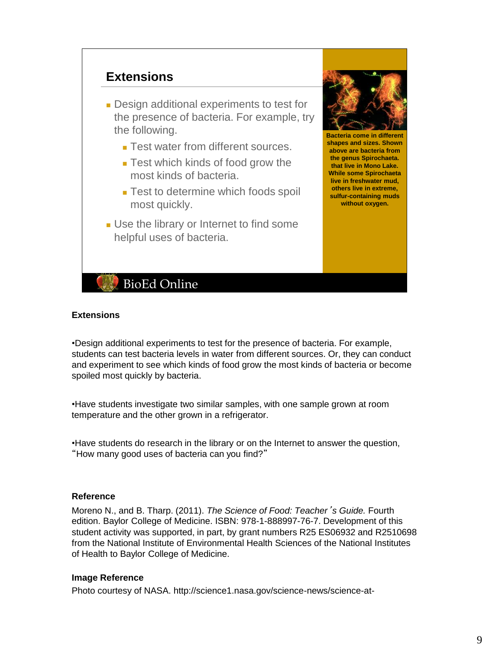

## **Extensions**

•Design additional experiments to test for the presence of bacteria. For example, students can test bacteria levels in water from different sources. Or, they can conduct and experiment to see which kinds of food grow the most kinds of bacteria or become spoiled most quickly by bacteria.

•Have students investigate two similar samples, with one sample grown at room temperature and the other grown in a refrigerator.

•Have students do research in the library or on the Internet to answer the question, "How many good uses of bacteria can you find?"

#### **Reference**

Moreno N., and B. Tharp. (2011). *The Science of Food: Teacher*'*s Guide.* Fourth edition. Baylor College of Medicine. ISBN: 978-1-888997-76-7. Development of this student activity was supported, in part, by grant numbers R25 ES06932 and R2510698 from the National Institute of Environmental Health Sciences of the National Institutes of Health to Baylor College of Medicine.

#### **Image Reference**

Photo courtesy of NASA. http://science1.nasa.gov/science-news/science-at-